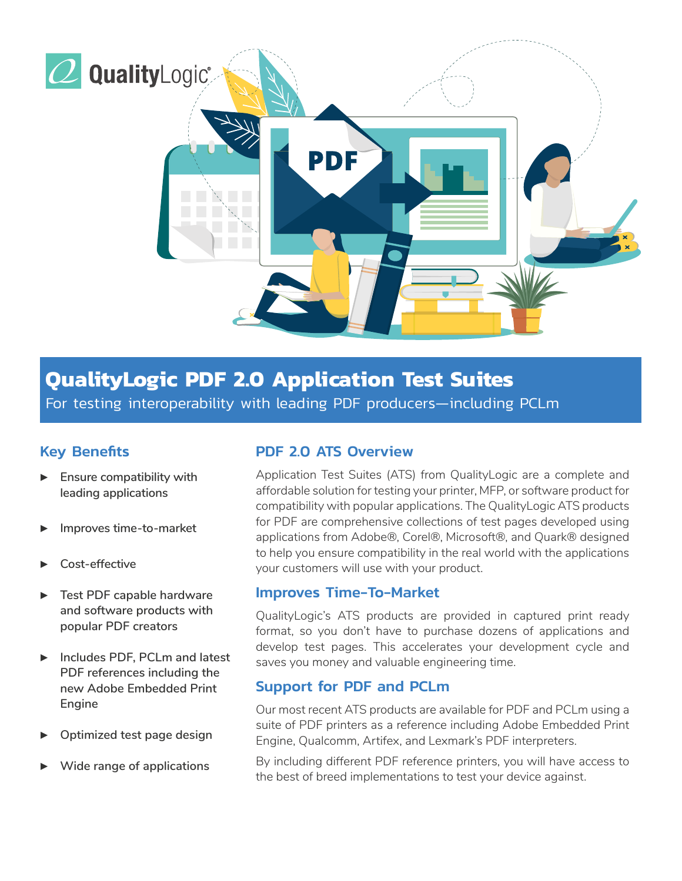

# **QualityLogic PDF 2.0 Application Test Suites**

For testing interoperability with leading PDF producers—including PCLm

## Key Benefits

- **Ensure compatibility with leading applications**
- ▶ **Improves time-to-market**
- Cost-effective
- **Test PDF capable hardware and software products with popular PDF creators**
- ▶ **Includes PDF, PCLm and latest PDF references including the new Adobe Embedded Print Engine**
- **Optimized test page design**
- ▶ **Wide range of applications**

### PDF 2.0 ATS Overview

Application Test Suites (ATS) from QualityLogic are a complete and affordable solution for testing your printer, MFP, or software product for compatibility with popular applications. The QualityLogic ATS products for PDF are comprehensive collections of test pages developed using applications from Adobe®, Corel®, Microsoft®, and Quark® designed to help you ensure compatibility in the real world with the applications your customers will use with your product.

#### Improves Time-To-Market

QualityLogic's ATS products are provided in captured print ready format, so you don't have to purchase dozens of applications and develop test pages. This accelerates your development cycle and saves you money and valuable engineering time.

#### Support for PDF and PCLm

Our most recent ATS products are available for PDF and PCLm using a suite of PDF printers as a reference including Adobe Embedded Print Engine, Qualcomm, Artifex, and Lexmark's PDF interpreters.

By including different PDF reference printers, you will have access to the best of breed implementations to test your device against.